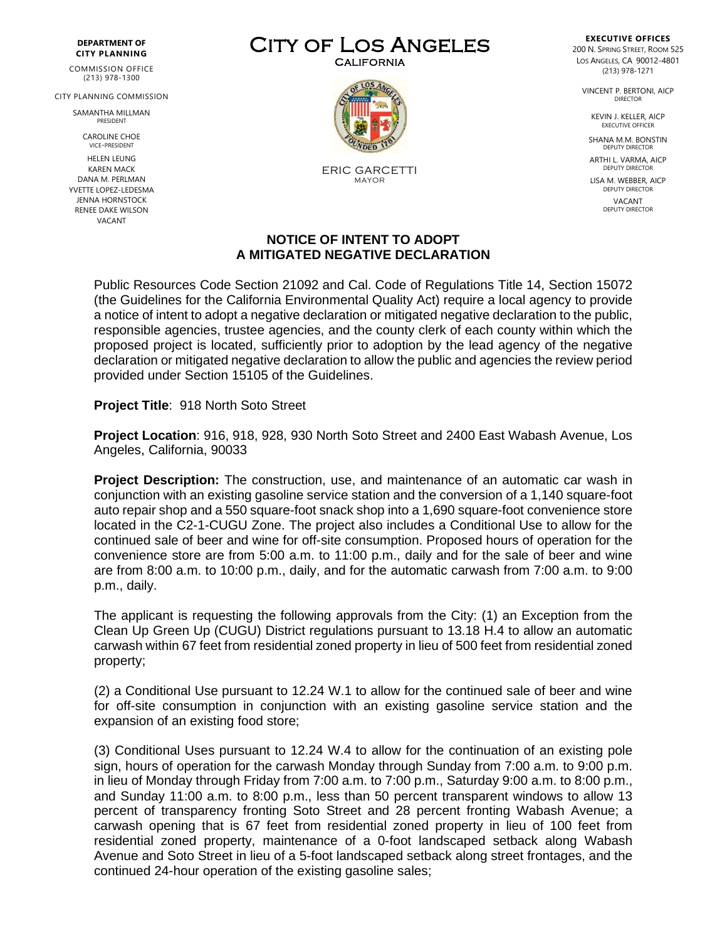## **DEPARTMENT OF CITY PLANNING**

COMMISSION OFFICE (213) 978-1300

CITY PLANNING COMMISSION

SAMANTHA MILLMAN PRESIDENT

CAROLINE CHOE VICE-PRESIDENT HELEN LEUNG KAREN MACK DANA M. PERLMAN YVETTE LOPEZ-LEDESMA JENNA HORNSTOCK RENEE DAKE WILSON VACANT

CITY OF LOS ANGELES



ERIC GARCETTI MAYOR

## **NOTICE OF INTENT TO ADOPT A MITIGATED NEGATIVE DECLARATION**

Public Resources Code Section 21092 and Cal. Code of Regulations Title 14, Section 15072 (the Guidelines for the California Environmental Quality Act) require a local agency to provide a notice of intent to adopt a negative declaration or mitigated negative declaration to the public, responsible agencies, trustee agencies, and the county clerk of each county within which the proposed project is located, sufficiently prior to adoption by the lead agency of the negative declaration or mitigated negative declaration to allow the public and agencies the review period provided under Section 15105 of the Guidelines.

**Project Title**: 918 North Soto Street

**Project Location**: 916, 918, 928, 930 North Soto Street and 2400 East Wabash Avenue, Los Angeles, California, 90033

**Project Description:** The construction, use, and maintenance of an automatic car wash in conjunction with an existing gasoline service station and the conversion of a 1,140 square-foot auto repair shop and a 550 square-foot snack shop into a 1,690 square-foot convenience store located in the C2-1-CUGU Zone. The project also includes a Conditional Use to allow for the continued sale of beer and wine for off-site consumption. Proposed hours of operation for the convenience store are from 5:00 a.m. to 11:00 p.m., daily and for the sale of beer and wine are from 8:00 a.m. to 10:00 p.m., daily, and for the automatic carwash from 7:00 a.m. to 9:00 p.m., daily.

The applicant is requesting the following approvals from the City: (1) an Exception from the Clean Up Green Up (CUGU) District regulations pursuant to 13.18 H.4 to allow an automatic carwash within 67 feet from residential zoned property in lieu of 500 feet from residential zoned property;

(2) a Conditional Use pursuant to 12.24 W.1 to allow for the continued sale of beer and wine for off-site consumption in conjunction with an existing gasoline service station and the expansion of an existing food store;

(3) Conditional Uses pursuant to 12.24 W.4 to allow for the continuation of an existing pole sign, hours of operation for the carwash Monday through Sunday from 7:00 a.m. to 9:00 p.m. in lieu of Monday through Friday from 7:00 a.m. to 7:00 p.m., Saturday 9:00 a.m. to 8:00 p.m., and Sunday 11:00 a.m. to 8:00 p.m., less than 50 percent transparent windows to allow 13 percent of transparency fronting Soto Street and 28 percent fronting Wabash Avenue; a carwash opening that is 67 feet from residential zoned property in lieu of 100 feet from residential zoned property, maintenance of a 0-foot landscaped setback along Wabash Avenue and Soto Street in lieu of a 5-foot landscaped setback along street frontages, and the continued 24-hour operation of the existing gasoline sales;

**EXECUTIVE OFFICES** 200 N. SPRING STREET, ROOM 525 LOS ANGELES, CA 90012-4801 (213) 978-1271

VINCENT P. BERTONI, AICP DIRECTOR

> KEVIN J. KELLER, AICP EXECUTIVE OFFICE

SHANA M.M. BONSTIN DEPUTY DIRECTOR

ARTHI L. VARMA, AICP DEPUTY DIRECTOR

LISA M. WEBBER, AICP DEPUTY DIRECTOR **VACANT** DEPUTY DIRECTOR